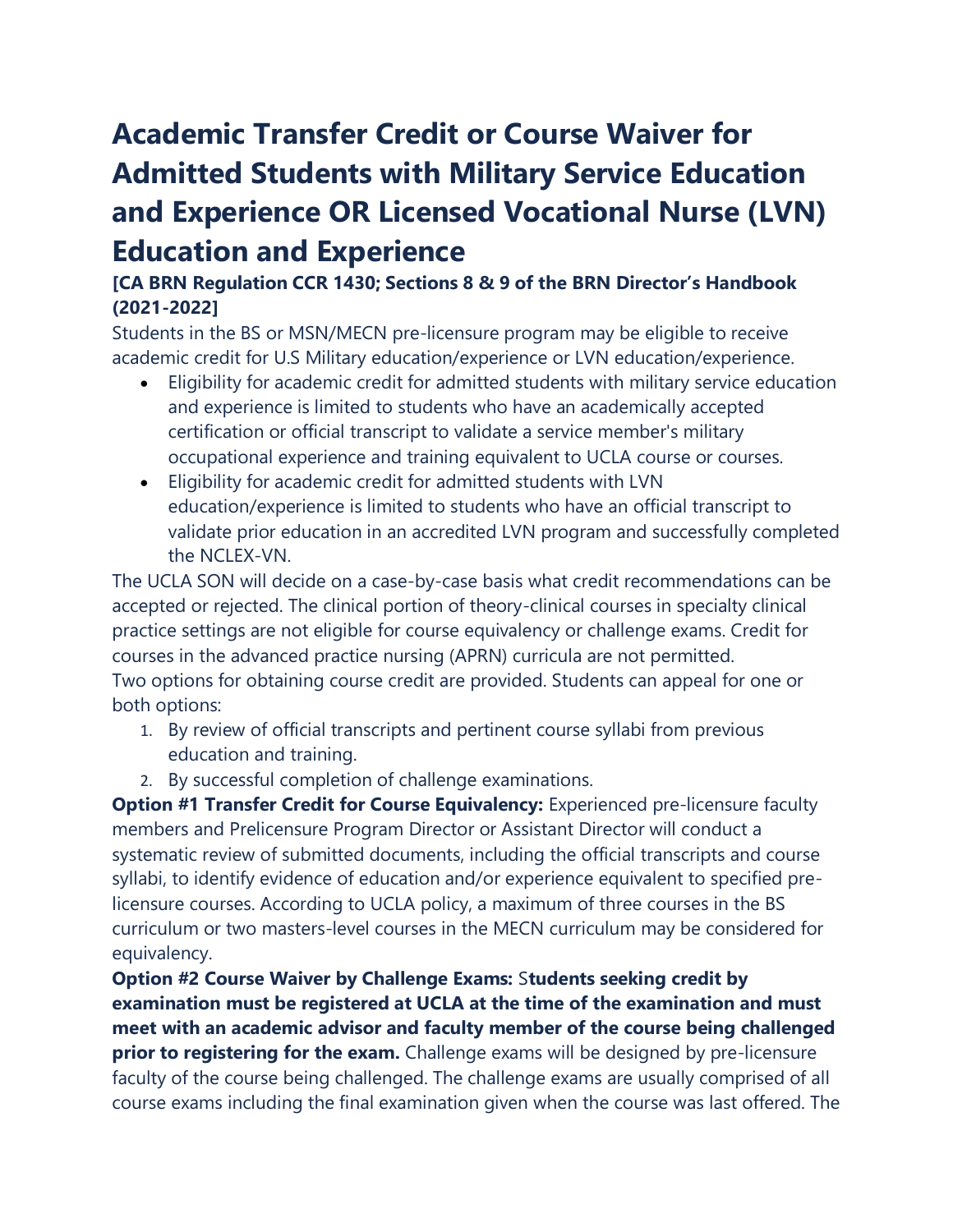## **Academic Transfer Credit or Course Waiver for Admitted Students with Military Service Education and Experience OR Licensed Vocational Nurse (LVN) Education and Experience**

## **[CA BRN Regulation CCR 1430; Sections 8 & 9 of the BRN Director's Handbook (2021-2022]**

Students in the BS or MSN/MECN pre-licensure program may be eligible to receive academic credit for U.S Military education/experience or LVN education/experience.

- Eligibility for academic credit for admitted students with military service education and experience is limited to students who have an academically accepted certification or official transcript to validate a service member's military occupational experience and training equivalent to UCLA course or courses.
- Eligibility for academic credit for admitted students with LVN education/experience is limited to students who have an official transcript to validate prior education in an accredited LVN program and successfully completed the NCLEX-VN.

The UCLA SON will decide on a case-by-case basis what credit recommendations can be accepted or rejected. The clinical portion of theory-clinical courses in specialty clinical practice settings are not eligible for course equivalency or challenge exams. Credit for courses in the advanced practice nursing (APRN) curricula are not permitted. Two options for obtaining course credit are provided. Students can appeal for one or both options:

- 1. By review of official transcripts and pertinent course syllabi from previous education and training.
- 2. By successful completion of challenge examinations.

**Option #1 Transfer Credit for Course Equivalency:** Experienced pre-licensure faculty members and Prelicensure Program Director or Assistant Director will conduct a systematic review of submitted documents, including the official transcripts and course syllabi, to identify evidence of education and/or experience equivalent to specified prelicensure courses. According to UCLA policy, a maximum of three courses in the BS curriculum or two masters-level courses in the MECN curriculum may be considered for equivalency.

**Option #2 Course Waiver by Challenge Exams:** S**tudents seeking credit by examination must be registered at UCLA at the time of the examination and must meet with an academic advisor and faculty member of the course being challenged prior to registering for the exam.** Challenge exams will be designed by pre-licensure faculty of the course being challenged. The challenge exams are usually comprised of all course exams including the final examination given when the course was last offered. The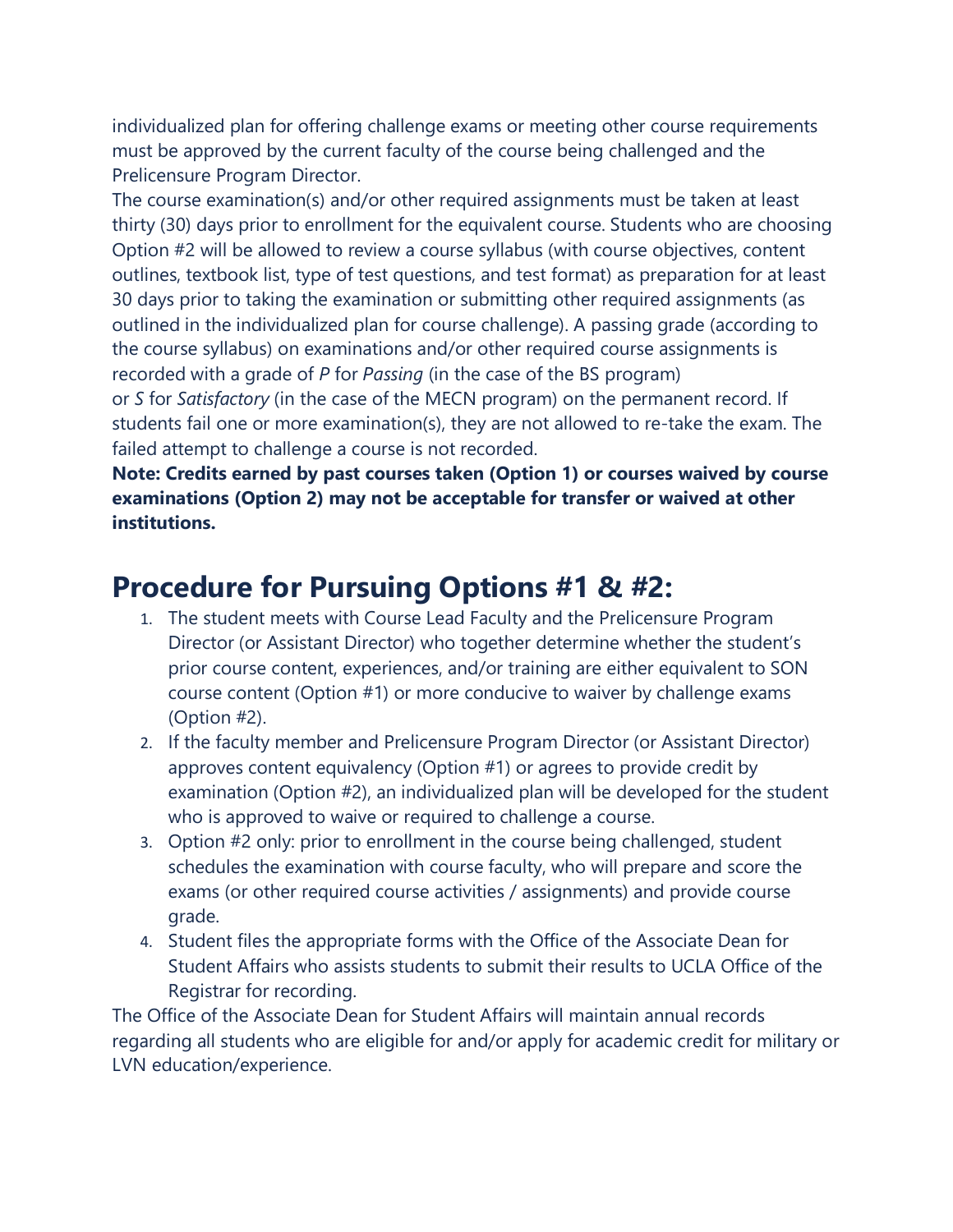individualized plan for offering challenge exams or meeting other course requirements must be approved by the current faculty of the course being challenged and the Prelicensure Program Director.

The course examination(s) and/or other required assignments must be taken at least thirty (30) days prior to enrollment for the equivalent course. Students who are choosing Option #2 will be allowed to review a course syllabus (with course objectives, content outlines, textbook list, type of test questions, and test format) as preparation for at least 30 days prior to taking the examination or submitting other required assignments (as outlined in the individualized plan for course challenge). A passing grade (according to the course syllabus) on examinations and/or other required course assignments is recorded with a grade of *P* for *Passing* (in the case of the BS program)

or *S* for *Satisfactory* (in the case of the MECN program) on the permanent record. If students fail one or more examination(s), they are not allowed to re-take the exam. The failed attempt to challenge a course is not recorded.

**Note: Credits earned by past courses taken (Option 1) or courses waived by course examinations (Option 2) may not be acceptable for transfer or waived at other institutions.**

## **Procedure for Pursuing Options #1 & #2:**

- 1. The student meets with Course Lead Faculty and the Prelicensure Program Director (or Assistant Director) who together determine whether the student's prior course content, experiences, and/or training are either equivalent to SON course content (Option #1) or more conducive to waiver by challenge exams (Option #2).
- 2. If the faculty member and Prelicensure Program Director (or Assistant Director) approves content equivalency (Option #1) or agrees to provide credit by examination (Option #2), an individualized plan will be developed for the student who is approved to waive or required to challenge a course.
- 3. Option #2 only: prior to enrollment in the course being challenged, student schedules the examination with course faculty, who will prepare and score the exams (or other required course activities / assignments) and provide course grade.
- 4. Student files the appropriate forms with the Office of the Associate Dean for Student Affairs who assists students to submit their results to UCLA Office of the Registrar for recording.

The Office of the Associate Dean for Student Affairs will maintain annual records regarding all students who are eligible for and/or apply for academic credit for military or LVN education/experience.